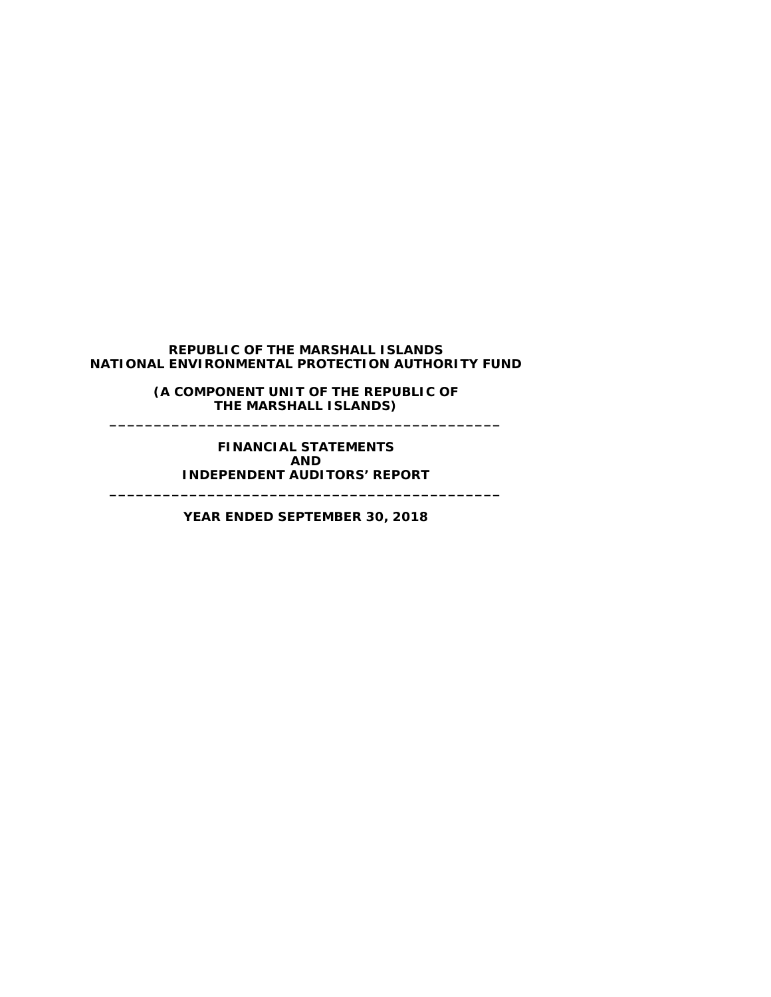#### **REPUBLIC OF THE MARSHALL ISLANDS NATIONAL ENVIRONMENTAL PROTECTION AUTHORITY FUND**

**(A COMPONENT UNIT OF THE REPUBLIC OF THE MARSHALL ISLANDS) \_\_\_\_\_\_\_\_\_\_\_\_\_\_\_\_\_\_\_\_\_\_\_\_\_\_\_\_\_\_\_\_\_\_\_\_\_\_\_\_\_\_\_\_**

**FINANCIAL STATEMENTS AND INDEPENDENT AUDITORS' REPORT \_\_\_\_\_\_\_\_\_\_\_\_\_\_\_\_\_\_\_\_\_\_\_\_\_\_\_\_\_\_\_\_\_\_\_\_\_\_\_\_\_\_\_\_**

**YEAR ENDED SEPTEMBER 30, 2018**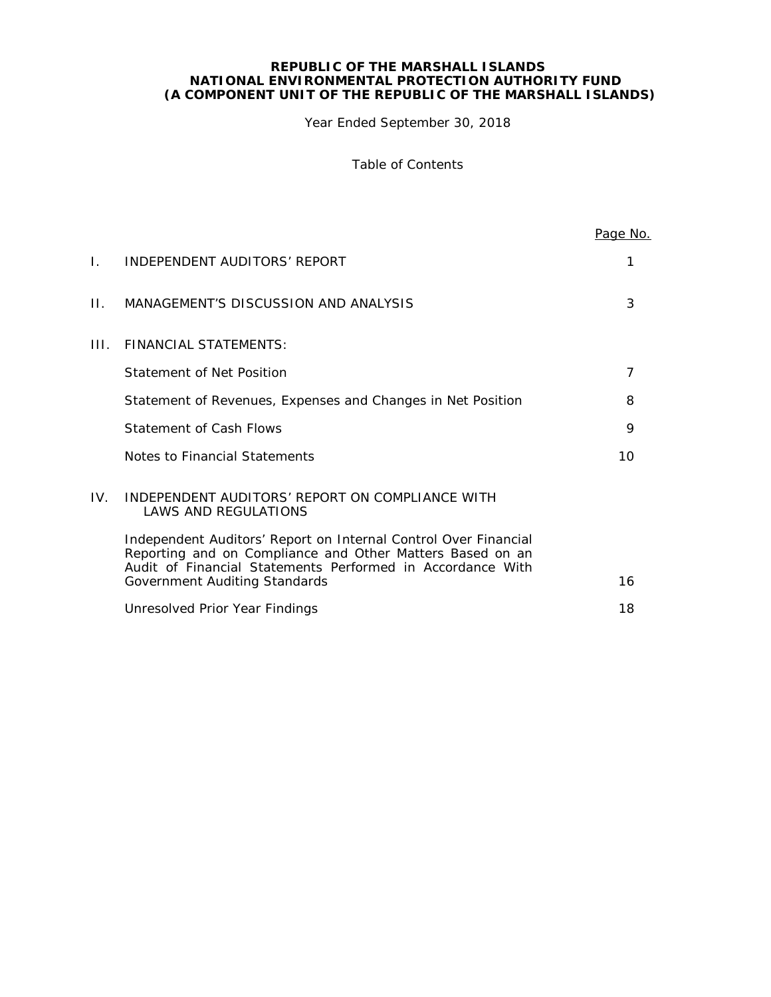Year Ended September 30, 2018

Table of Contents

|      |                                                                                                                                                                                            | Page No. |
|------|--------------------------------------------------------------------------------------------------------------------------------------------------------------------------------------------|----------|
| Ι.   | INDEPENDENT AUDITORS' REPORT                                                                                                                                                               | 1        |
| Н.   | MANAGEMENT'S DISCUSSION AND ANALYSIS                                                                                                                                                       | 3        |
| III. | <b>FINANCIAL STATEMENTS:</b>                                                                                                                                                               |          |
|      | Statement of Net Position                                                                                                                                                                  | 7        |
|      | Statement of Revenues, Expenses and Changes in Net Position                                                                                                                                | 8        |
|      | Statement of Cash Flows                                                                                                                                                                    | 9        |
|      | Notes to Financial Statements                                                                                                                                                              | 10       |
| IV.  | INDEPENDENT AUDITORS' REPORT ON COMPLIANCE WITH<br>LAWS AND REGULATIONS                                                                                                                    |          |
|      | Independent Auditors' Report on Internal Control Over Financial<br>Reporting and on Compliance and Other Matters Based on an<br>Audit of Financial Statements Performed in Accordance With | 16       |
|      | Government Auditing Standards                                                                                                                                                              |          |
|      | Unresolved Prior Year Findings                                                                                                                                                             | 18       |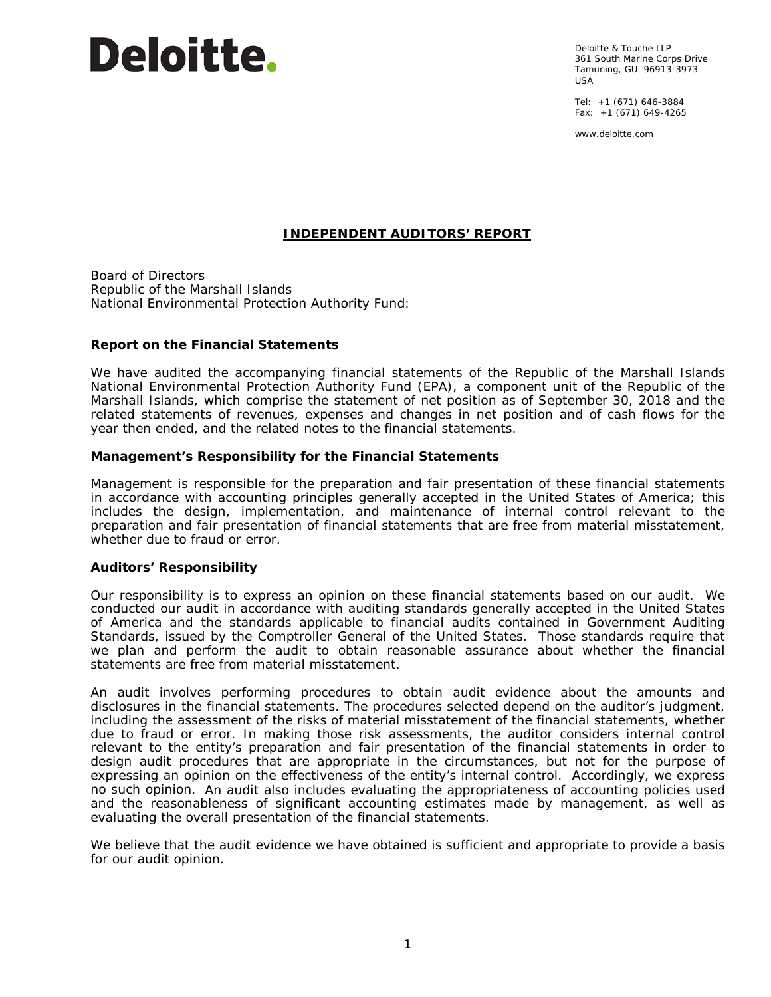Deloitte & Touche LLP 361 South Marine Corps Drive Tamuning, GU 96913-3973 USA

Tel: +1 (671) 646-3884 Fax: +1 (671) 649-4265

www.deloitte.com

# **INDEPENDENT AUDITORS' REPORT**

Board of Directors Republic of the Marshall Islands National Environmental Protection Authority Fund:

# **Report on the Financial Statements**

We have audited the accompanying financial statements of the Republic of the Marshall Islands National Environmental Protection Authority Fund (EPA), a component unit of the Republic of the Marshall Islands, which comprise the statement of net position as of September 30, 2018 and the related statements of revenues, expenses and changes in net position and of cash flows for the year then ended, and the related notes to the financial statements.

# *Management's Responsibility for the Financial Statements*

Management is responsible for the preparation and fair presentation of these financial statements in accordance with accounting principles generally accepted in the United States of America; this includes the design, implementation, and maintenance of internal control relevant to the preparation and fair presentation of financial statements that are free from material misstatement, whether due to fraud or error.

#### *Auditors' Responsibility*

Our responsibility is to express an opinion on these financial statements based on our audit. We conducted our audit in accordance with auditing standards generally accepted in the United States of America and the standards applicable to financial audits contained in *Government Auditing Standards,* issued by the Comptroller General of the United States. Those standards require that we plan and perform the audit to obtain reasonable assurance about whether the financial statements are free from material misstatement.

An audit involves performing procedures to obtain audit evidence about the amounts and disclosures in the financial statements. The procedures selected depend on the auditor's judgment, including the assessment of the risks of material misstatement of the financial statements, whether due to fraud or error. In making those risk assessments, the auditor considers internal control relevant to the entity's preparation and fair presentation of the financial statements in order to design audit procedures that are appropriate in the circumstances, but not for the purpose of expressing an opinion on the effectiveness of the entity's internal control. Accordingly, we express no such opinion. An audit also includes evaluating the appropriateness of accounting policies used and the reasonableness of significant accounting estimates made by management, as well as evaluating the overall presentation of the financial statements.

We believe that the audit evidence we have obtained is sufficient and appropriate to provide a basis for our audit opinion.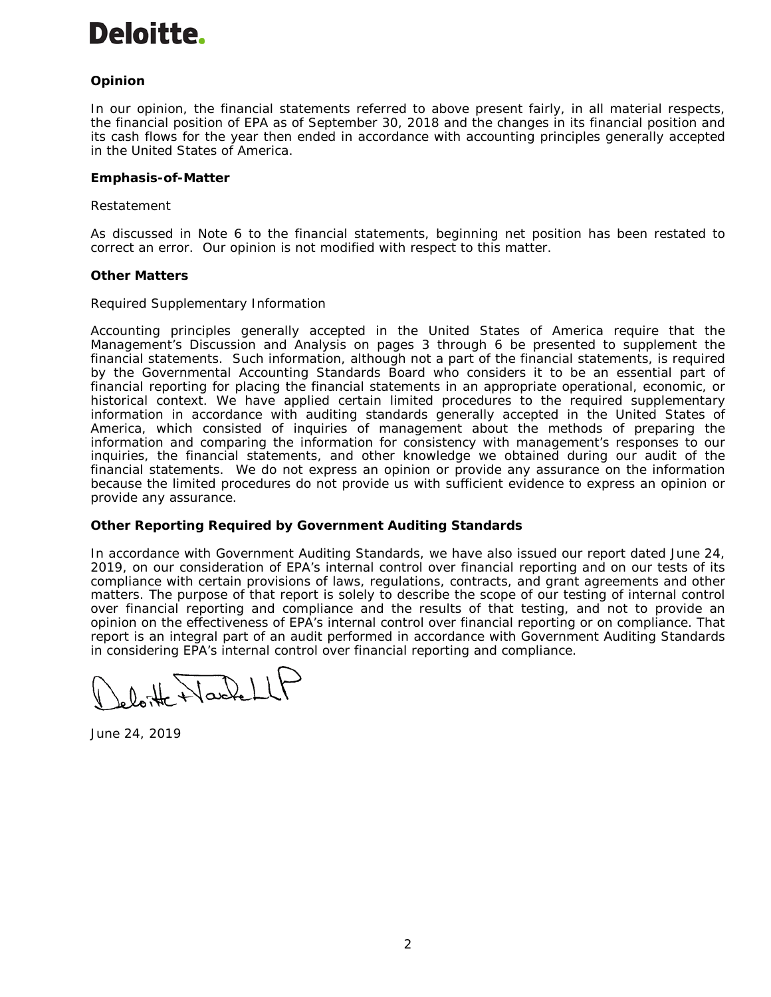# *Opinion*

In our opinion, the financial statements referred to above present fairly, in all material respects, the financial position of EPA as of September 30, 2018 and the changes in its financial position and its cash flows for the year then ended in accordance with accounting principles generally accepted in the United States of America.

#### *Emphasis-of-Matter*

#### *Restatement*

As discussed in Note 6 to the financial statements, beginning net position has been restated to correct an error. Our opinion is not modified with respect to this matter.

#### *Other Matters*

#### *Required Supplementary Information*

Accounting principles generally accepted in the United States of America require that the Management's Discussion and Analysis on pages 3 through 6 be presented to supplement the financial statements. Such information, although not a part of the financial statements, is required by the Governmental Accounting Standards Board who considers it to be an essential part of financial reporting for placing the financial statements in an appropriate operational, economic, or historical context. We have applied certain limited procedures to the required supplementary information in accordance with auditing standards generally accepted in the United States of America, which consisted of inquiries of management about the methods of preparing the information and comparing the information for consistency with management's responses to our inquiries, the financial statements, and other knowledge we obtained during our audit of the financial statements. We do not express an opinion or provide any assurance on the information because the limited procedures do not provide us with sufficient evidence to express an opinion or provide any assurance.

#### **Other Reporting Required by** *Government Auditing Standards*

In accordance with *Government Auditing Standards*, we have also issued our report dated June 24, 2019, on our consideration of EPA's internal control over financial reporting and on our tests of its compliance with certain provisions of laws, regulations, contracts, and grant agreements and other matters. The purpose of that report is solely to describe the scope of our testing of internal control over financial reporting and compliance and the results of that testing, and not to provide an opinion on the effectiveness of EPA's internal control over financial reporting or on compliance. That report is an integral part of an audit performed in accordance with *Government Auditing Standards* in considering EPA's internal control over financial reporting and compliance.

 $\sqrt{a^2 + b^2}$ 

June 24, 2019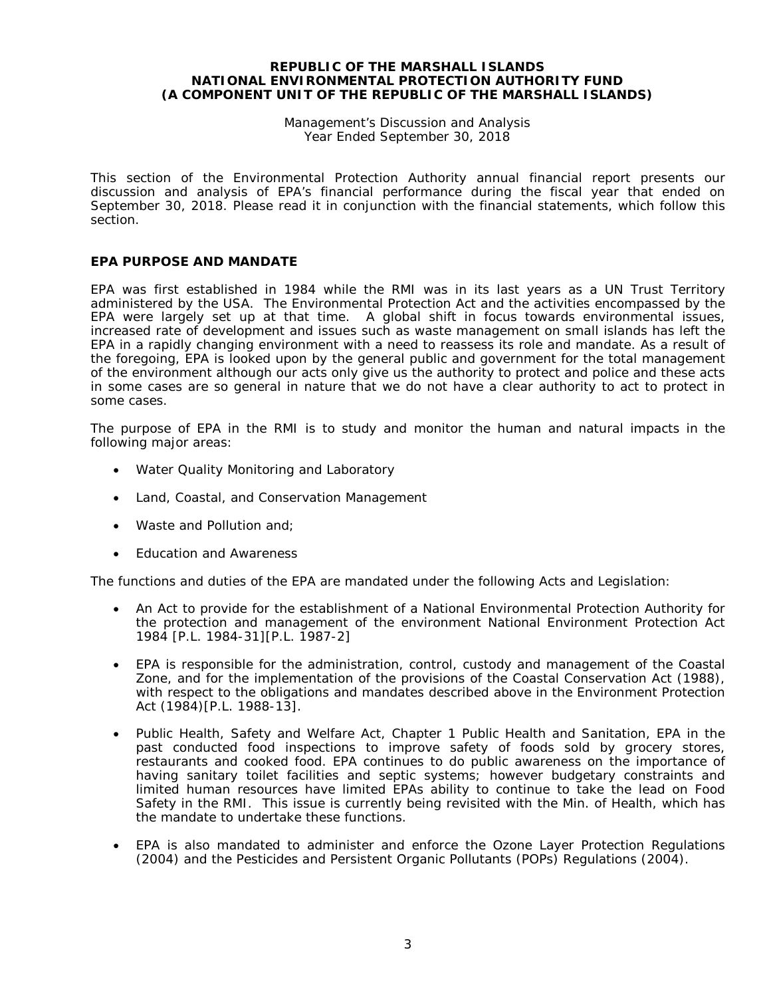Management's Discussion and Analysis Year Ended September 30, 2018

This section of the Environmental Protection Authority annual financial report presents our discussion and analysis of EPA's financial performance during the fiscal year that ended on September 30, 2018. Please read it in conjunction with the financial statements, which follow this section.

# **EPA PURPOSE AND MANDATE**

EPA was first established in 1984 while the RMI was in its last years as a UN Trust Territory administered by the USA. The *Environmental Protection Act* and the activities encompassed by the EPA were largely set up at that time. A global shift in focus towards environmental issues, increased rate of development and issues such as waste management on small islands has left the EPA in a rapidly changing environment with a need to reassess its role and mandate. As a result of the foregoing, EPA is looked upon by the general public and government for the total management of the environment although our acts only give us the authority to protect and police and these acts in some cases are so general in nature that we do not have a clear authority to act to protect in some cases.

The purpose of EPA in the RMI is to study and monitor the human and natural impacts in the following major areas:

- Water Quality Monitoring and Laboratory
- Land, Coastal, and Conservation Management
- Waste and Pollution and;
- Education and Awareness

The functions and duties of the EPA are mandated under the following Acts and Legislation:

- An Act to provide for the establishment of a National Environmental Protection Authority for the protection and management of the environment National Environment Protection Act 1984 [P.L. 1984-31][P.L. 1987-2]
- EPA is responsible for the administration, control, custody and management of the Coastal Zone, and for the implementation of the provisions of the *Coastal Conservation Act (1988)*, with respect to the obligations and mandates described above in the *Environment Protection Act (1984)*[P.L. 1988-13].
- *Public Health, Safety and Welfare Act, Chapter 1 Public Health and Sanitation*, EPA in the past conducted food inspections to improve safety of foods sold by grocery stores, restaurants and cooked food. EPA continues to do public awareness on the importance of having sanitary toilet facilities and septic systems; however budgetary constraints and limited human resources have limited EPAs ability to continue to take the lead on Food Safety in the RMI. This issue is currently being revisited with the Min. of Health, which has the mandate to undertake these functions.
- EPA is also mandated to administer and enforce the Ozone *Layer Protection Regulations (2004)* and the *Pesticides and Persistent Organic Pollutants (POPs) Regulations (2004)*.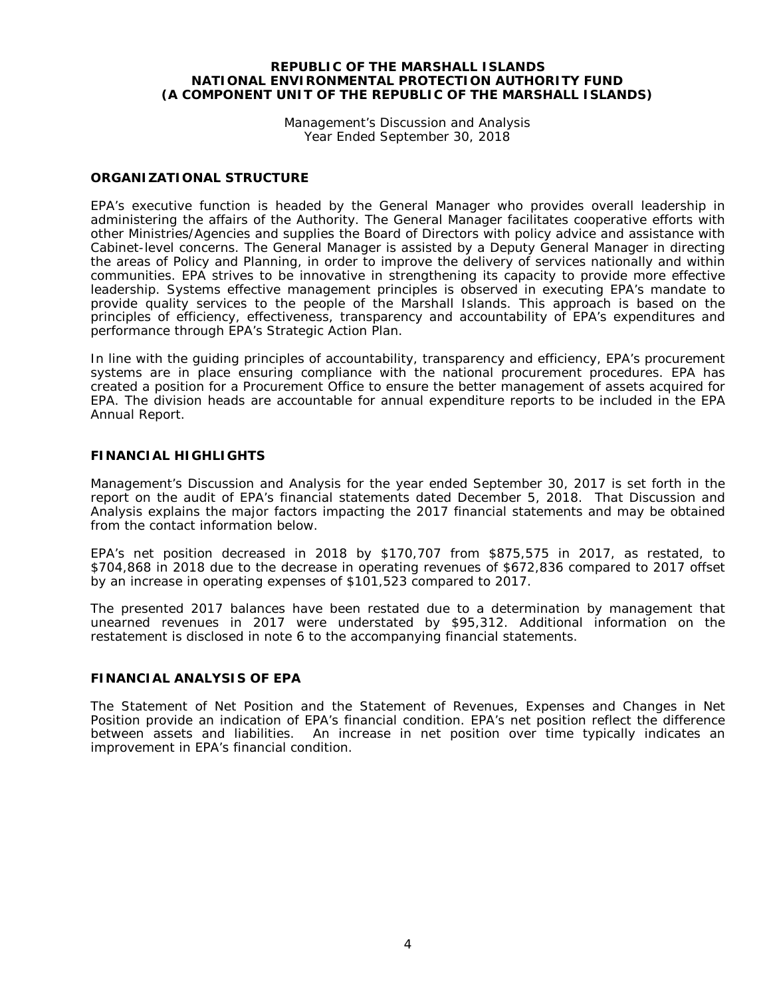Management's Discussion and Analysis Year Ended September 30, 2018

#### **ORGANIZATIONAL STRUCTURE**

EPA's executive function is headed by the General Manager who provides overall leadership in administering the affairs of the Authority. The General Manager facilitates cooperative efforts with other Ministries/Agencies and supplies the Board of Directors with policy advice and assistance with Cabinet-level concerns. The General Manager is assisted by a Deputy General Manager in directing the areas of Policy and Planning, in order to improve the delivery of services nationally and within communities. EPA strives to be innovative in strengthening its capacity to provide more effective leadership. Systems effective management principles is observed in executing EPA's mandate to provide quality services to the people of the Marshall Islands. This approach is based on the principles of efficiency, effectiveness, transparency and accountability of EPA's expenditures and performance through EPA's Strategic Action Plan.

In line with the guiding principles of accountability, transparency and efficiency, EPA's procurement systems are in place ensuring compliance with the national procurement procedures. EPA has created a position for a Procurement Office to ensure the better management of assets acquired for EPA. The division heads are accountable for annual expenditure reports to be included in the EPA Annual Report.

# **FINANCIAL HIGHLIGHTS**

Management's Discussion and Analysis for the year ended September 30, 2017 is set forth in the report on the audit of EPA's financial statements dated December 5, 2018. That Discussion and Analysis explains the major factors impacting the 2017 financial statements and may be obtained from the contact information below.

EPA's net position decreased in 2018 by \$170,707 from \$875,575 in 2017, as restated, to \$704,868 in 2018 due to the decrease in operating revenues of \$672,836 compared to 2017 offset by an increase in operating expenses of \$101,523 compared to 2017.

The presented 2017 balances have been restated due to a determination by management that unearned revenues in 2017 were understated by \$95,312. Additional information on the restatement is disclosed in note 6 to the accompanying financial statements.

# **FINANCIAL ANALYSIS OF EPA**

The Statement of Net Position and the Statement of Revenues, Expenses and Changes in Net Position provide an indication of EPA's financial condition. EPA's net position reflect the difference between assets and liabilities. An increase in net position over time typically indicates an improvement in EPA's financial condition.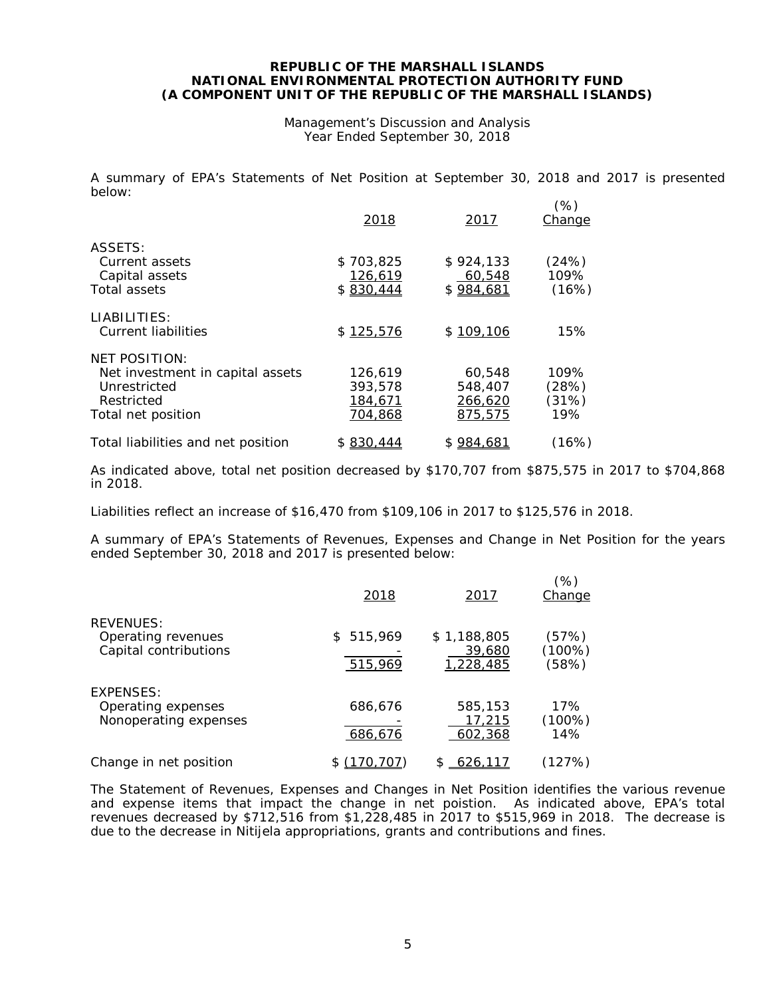Management's Discussion and Analysis Year Ended September 30, 2018

A summary of EPA's Statements of Net Position at September 30, 2018 and 2017 is presented below:

|                                                                                                              | 2018                                     | 2017                                    | (%)<br><b>Change</b>          |
|--------------------------------------------------------------------------------------------------------------|------------------------------------------|-----------------------------------------|-------------------------------|
| ASSETS:<br>Current assets<br>Capital assets<br>Total assets                                                  | \$703,825<br>126,619<br>\$830,444        | \$924.133<br>60,548<br>\$984,681        | (24%)<br>109%<br>(16%)        |
| LIABILITIES:<br>Current liabilities                                                                          | \$125,576                                | \$109,106                               | 15%                           |
| <b>NET POSITION:</b><br>Net investment in capital assets<br>Unrestricted<br>Restricted<br>Total net position | 126,619<br>393.578<br>184,671<br>704,868 | 60,548<br>548,407<br>266,620<br>875,575 | 109%<br>(28%)<br>(31%)<br>19% |
| Total liabilities and net position                                                                           | \$830,444                                | \$984.681                               | (16%)                         |

As indicated above, total net position decreased by \$170,707 from \$875,575 in 2017 to \$704,868 in 2018.

Liabilities reflect an increase of \$16,470 from \$109,106 in 2017 to \$125,576 in 2018.

A summary of EPA's Statements of Revenues, Expenses and Change in Net Position for the years ended September 30, 2018 and 2017 is presented below:

|                                                                 | 2018                      | <u> 2017 </u>                      | (%)<br>Change            |
|-----------------------------------------------------------------|---------------------------|------------------------------------|--------------------------|
| <b>REVENUES:</b><br>Operating revenues<br>Capital contributions | 515,969<br>\$.<br>515,969 | \$1,188,805<br>39,680<br>1,228,485 | (57%)<br>(100%)<br>(58%) |
| EXPENSES:<br>Operating expenses<br>Nonoperating expenses        | 686,676<br>686,676        | 585,153<br>17,215<br>602,368       | 17%<br>(100%)<br>14%     |
| Change in net position                                          |                           | S<br>626.117                       | (127%)                   |

The Statement of Revenues, Expenses and Changes in Net Position identifies the various revenue and expense items that impact the change in net poistion. As indicated above, EPA's total revenues decreased by \$712,516 from \$1,228,485 in 2017 to \$515,969 in 2018. The decrease is due to the decrease in Nitijela appropriations, grants and contributions and fines.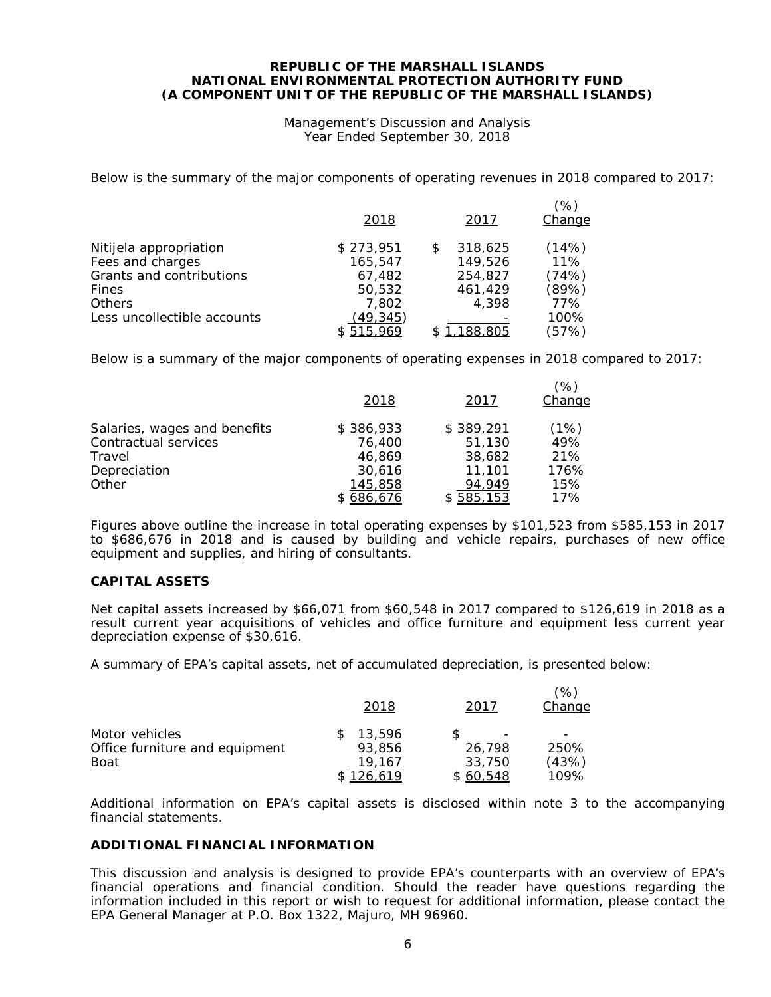Management's Discussion and Analysis Year Ended September 30, 2018

Below is the summary of the major components of operating revenues in 2018 compared to 2017:

 $(0)$ 

|                             | 2018      |   | 2017      | ( 70 )<br>Change |
|-----------------------------|-----------|---|-----------|------------------|
| Nitijela appropriation      | \$273,951 | S | 318,625   | (14%)            |
| Fees and charges            | 165,547   |   | 149,526   | 11%              |
| Grants and contributions    | 67.482    |   | 254,827   | (74%)            |
| Fines                       | 50,532    |   | 461.429   | (89%)            |
| Others                      | 7.802     |   | 4,398     | 77%              |
| Less uncollectible accounts | (49, 345) |   |           | 100%             |
|                             | \$515,969 |   | 1,188,805 | (57%)            |

Below is a summary of the major components of operating expenses in 2018 compared to 2017:

|                              | 2018      | 2017      | (%)<br>Change |
|------------------------------|-----------|-----------|---------------|
| Salaries, wages and benefits | \$386,933 | \$389,291 | (1%)          |
| Contractual services         | 76,400    | 51,130    | 49%           |
| Travel                       | 46.869    | 38,682    | 21%           |
| Depreciation                 | 30,616    | 11,101    | 176%          |
| Other                        | 145,858   | 94.949    | 15%           |
|                              | 686,676   | \$585,153 | 17%           |

Figures above outline the increase in total operating expenses by \$101,523 from \$585,153 in 2017 to \$686,676 in 2018 and is caused by building and vehicle repairs, purchases of new office equipment and supplies, and hiring of consultants.

# **CAPITAL ASSETS**

Net capital assets increased by \$66,071 from \$60,548 in 2017 compared to \$126,619 in 2018 as a result current year acquisitions of vehicles and office furniture and equipment less current year depreciation expense of \$30,616.

A summary of EPA's capital assets, net of accumulated depreciation, is presented below:

|                                | 2018    | 2017   | $(\%)$<br>Change |
|--------------------------------|---------|--------|------------------|
| Motor vehicles                 | 13,596  | 26.798 | -                |
| Office furniture and equipment | 93.856  |        | 250%             |
| Boat                           | 19.167  | 33,750 | (43%)            |
|                                | 126.619 | 60.548 | 109%             |

Additional information on EPA's capital assets is disclosed within note 3 to the accompanying financial statements.

# **ADDITIONAL FINANCIAL INFORMATION**

This discussion and analysis is designed to provide EPA's counterparts with an overview of EPA's financial operations and financial condition. Should the reader have questions regarding the information included in this report or wish to request for additional information, please contact the EPA General Manager at P.O. Box 1322, Majuro, MH 96960.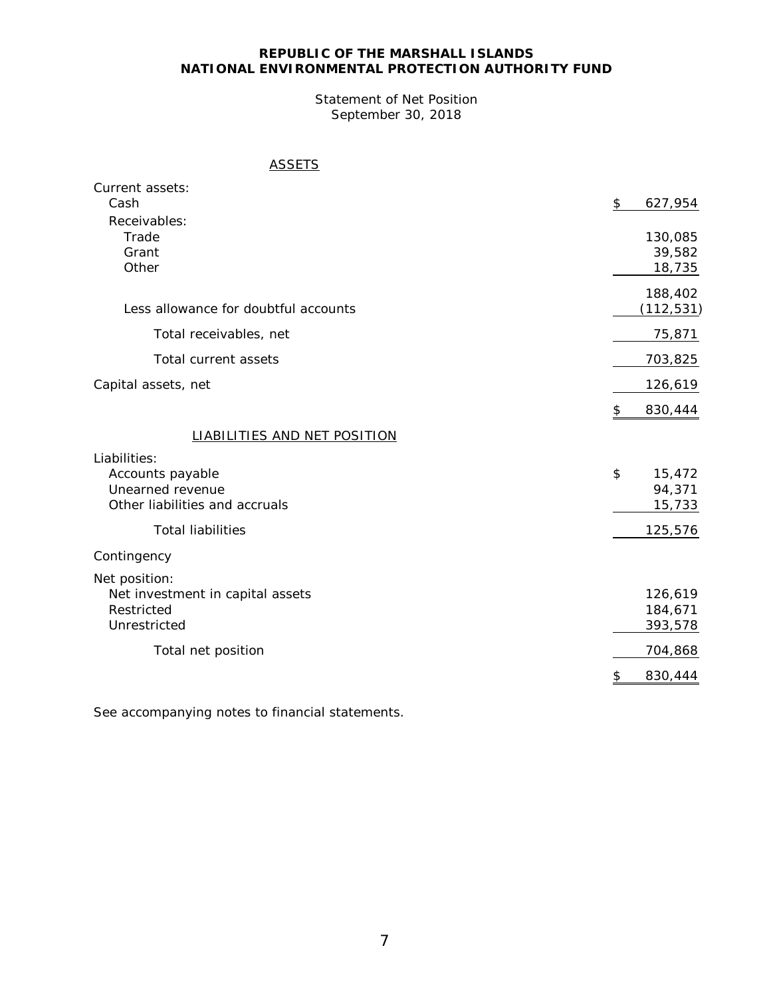# **NATIONAL ENVIRONMENTAL PROTECTION AUTHORITY FUND REPUBLIC OF THE MARSHALL ISLANDS**

Statement of Net Position September 30, 2018

# **ASSETS**

| Current assets:                      |                       |
|--------------------------------------|-----------------------|
| Cash                                 | \$<br>627,954         |
| Receivables:<br>Trade<br>Grant       | 130,085<br>39,582     |
| Other                                | 18,735                |
| Less allowance for doubtful accounts | 188,402<br>(112, 531) |
| Total receivables, net               | 75,871                |
| Total current assets                 | 703,825               |
| Capital assets, net                  | 126,619               |
|                                      | 830,444<br>\$         |
| <b>LIABILITIES AND NET POSITION</b>  |                       |
| Liabilities:                         |                       |
| Accounts payable                     | \$<br>15,472          |
| Unearned revenue                     | 94,371                |
| Other liabilities and accruals       | 15,733                |
| <b>Total liabilities</b>             | 125,576               |
| Contingency                          |                       |
| Net position:                        |                       |
| Net investment in capital assets     | 126,619               |
| Restricted                           | 184,671               |
| Unrestricted                         | 393,578               |
| Total net position                   | 704,868               |
|                                      | \$<br>830,444         |

See accompanying notes to financial statements.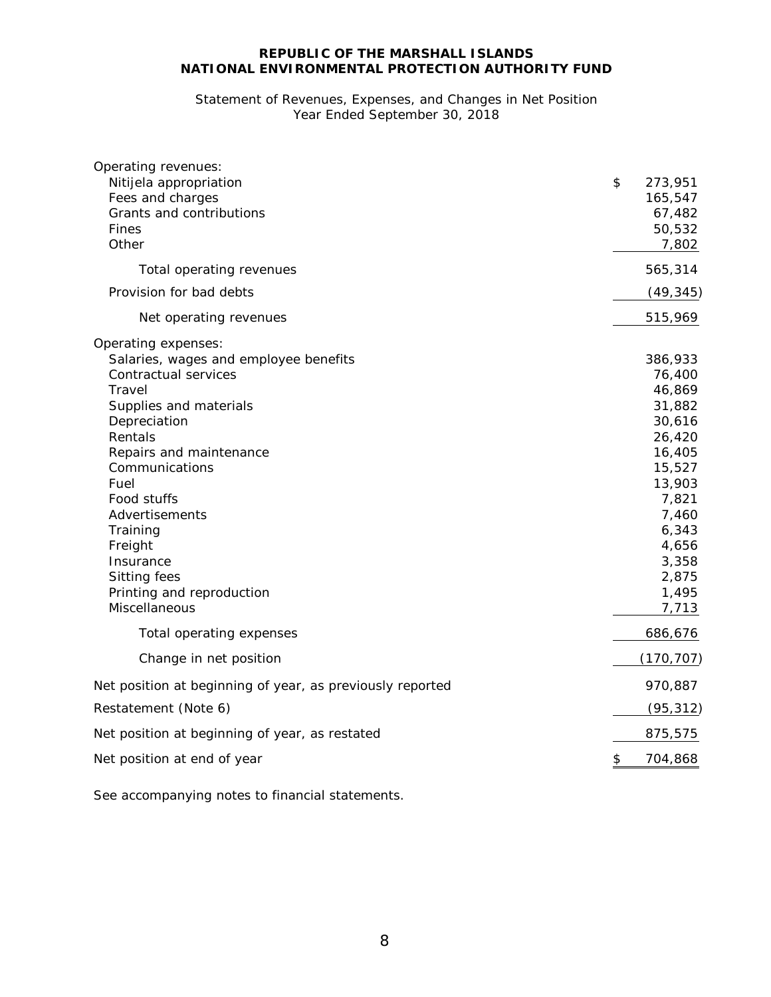# **NATIONAL ENVIRONMENTAL PROTECTION AUTHORITY FUND REPUBLIC OF THE MARSHALL ISLANDS**

Statement of Revenues, Expenses, and Changes in Net Position Year Ended September 30, 2018

| Operating revenues:                                       |               |  |
|-----------------------------------------------------------|---------------|--|
| Nitijela appropriation                                    | \$<br>273,951 |  |
| Fees and charges                                          | 165,547       |  |
| Grants and contributions                                  | 67,482        |  |
| Fines                                                     | 50,532        |  |
| Other                                                     | 7,802         |  |
|                                                           |               |  |
| Total operating revenues                                  | 565,314       |  |
| Provision for bad debts                                   | (49, 345)     |  |
| Net operating revenues                                    | 515,969       |  |
| Operating expenses:                                       |               |  |
| Salaries, wages and employee benefits                     | 386,933       |  |
| Contractual services                                      | 76,400        |  |
| Travel                                                    | 46,869        |  |
| Supplies and materials                                    | 31,882        |  |
| Depreciation                                              | 30,616        |  |
| Rentals                                                   | 26,420        |  |
| Repairs and maintenance                                   | 16,405        |  |
| Communications                                            | 15,527        |  |
| Fuel                                                      | 13,903        |  |
| Food stuffs                                               | 7,821         |  |
| Advertisements                                            | 7,460         |  |
| Training                                                  | 6,343         |  |
| Freight                                                   | 4,656         |  |
| Insurance                                                 | 3,358         |  |
| Sitting fees                                              | 2,875         |  |
| Printing and reproduction                                 | 1,495         |  |
| Miscellaneous                                             | 7,713         |  |
| Total operating expenses                                  | 686,676       |  |
| Change in net position                                    | (170, 707)    |  |
| Net position at beginning of year, as previously reported | 970,887       |  |
| Restatement (Note 6)                                      | (95, 312)     |  |
| Net position at beginning of year, as restated            | 875,575       |  |
| Net position at end of year                               | \$<br>704,868 |  |

See accompanying notes to financial statements.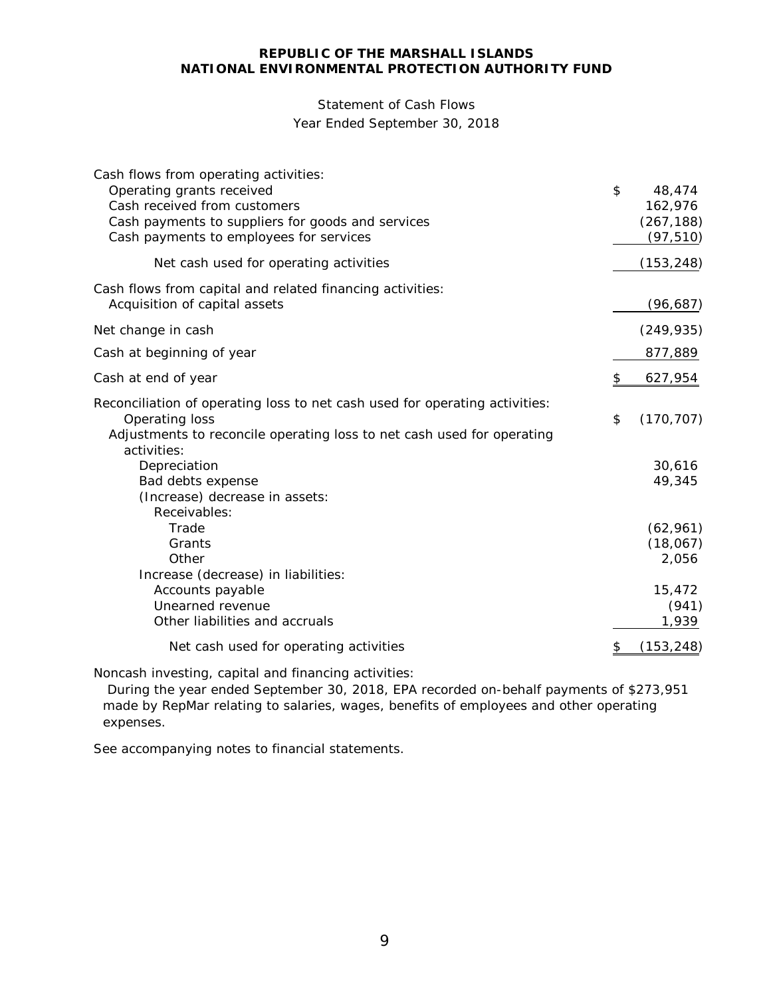# **NATIONAL ENVIRONMENTAL PROTECTION AUTHORITY FUND REPUBLIC OF THE MARSHALL ISLANDS**

Statement of Cash Flows

Year Ended September 30, 2018

| Cash flows from operating activities:                                                 |                  |
|---------------------------------------------------------------------------------------|------------------|
| Operating grants received                                                             | \$<br>48,474     |
| Cash received from customers                                                          | 162,976          |
| Cash payments to suppliers for goods and services                                     | (267, 188)       |
| Cash payments to employees for services                                               | (97, 510)        |
| Net cash used for operating activities                                                | (153, 248)       |
| Cash flows from capital and related financing activities:                             |                  |
| Acquisition of capital assets                                                         | (96, 687)        |
| Net change in cash                                                                    | (249, 935)       |
| Cash at beginning of year                                                             | 877,889          |
| Cash at end of year                                                                   | \$<br>627,954    |
| Reconciliation of operating loss to net cash used for operating activities:           |                  |
| Operating loss                                                                        | \$<br>(170, 707) |
| Adjustments to reconcile operating loss to net cash used for operating<br>activities: |                  |
| Depreciation                                                                          | 30,616           |
| Bad debts expense                                                                     | 49,345           |
| (Increase) decrease in assets:                                                        |                  |
| Receivables:                                                                          |                  |
| Trade                                                                                 | (62,961)         |
| Grants                                                                                | (18,067)         |
| Other                                                                                 | 2,056            |
| Increase (decrease) in liabilities:                                                   |                  |
| Accounts payable                                                                      | 15,472           |
| Unearned revenue                                                                      | (941)            |
| Other liabilities and accruals                                                        | 1,939            |
| Net cash used for operating activities                                                | \$<br>(153, 248) |
|                                                                                       |                  |

Noncash investing, capital and financing activities:

 During the year ended September 30, 2018, EPA recorded on-behalf payments of \$273,951 made by RepMar relating to salaries, wages, benefits of employees and other operating expenses.

See accompanying notes to financial statements.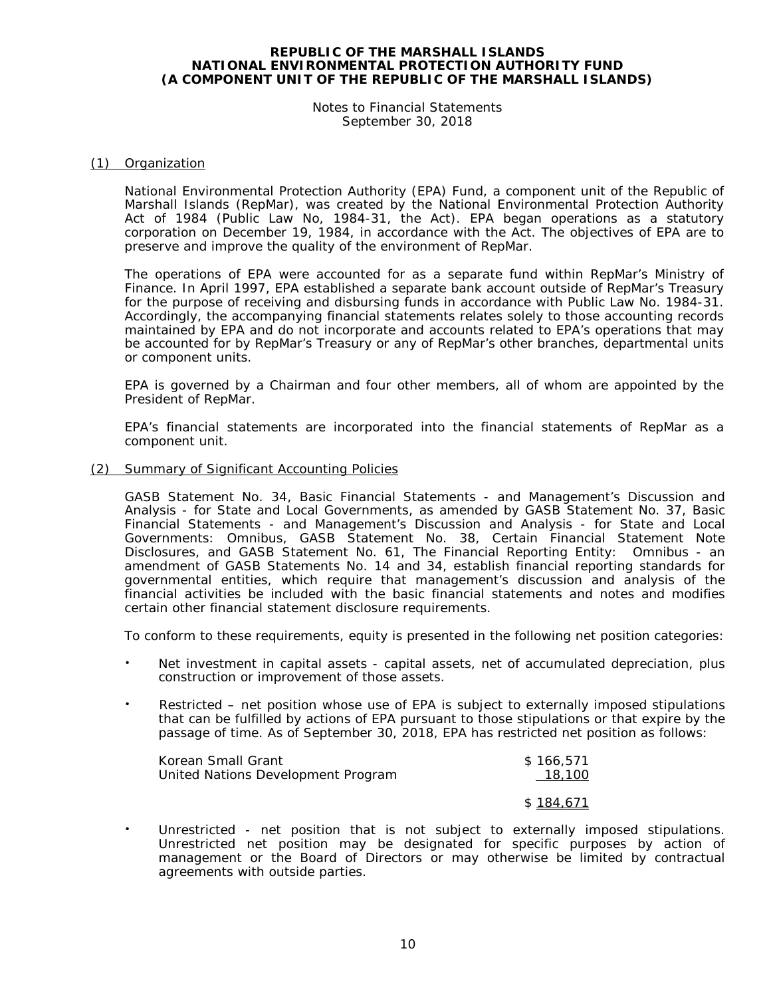Notes to Financial Statements September 30, 2018

#### (1) Organization

National Environmental Protection Authority (EPA) Fund, a component unit of the Republic of Marshall Islands (RepMar), was created by the National Environmental Protection Authority Act of 1984 (Public Law No, 1984-31, the Act). EPA began operations as a statutory corporation on December 19, 1984, in accordance with the Act. The objectives of EPA are to preserve and improve the quality of the environment of RepMar.

The operations of EPA were accounted for as a separate fund within RepMar's Ministry of Finance. In April 1997, EPA established a separate bank account outside of RepMar's Treasury for the purpose of receiving and disbursing funds in accordance with Public Law No. 1984-31. Accordingly, the accompanying financial statements relates solely to those accounting records maintained by EPA and do not incorporate and accounts related to EPA's operations that may be accounted for by RepMar's Treasury or any of RepMar's other branches, departmental units or component units.

EPA is governed by a Chairman and four other members, all of whom are appointed by the President of RepMar.

EPA's financial statements are incorporated into the financial statements of RepMar as a component unit.

#### (2) Summary of Significant Accounting Policies

GASB Statement No. 34, *Basic Financial Statements - and Management's Discussion and Analysis - for State and Local Governments*, as amended by GASB Statement No. 37, *Basic Financial Statements - and Management's Discussion and Analysis - for State and Local Governments: Omnibus*, GASB Statement No. 38, *Certain Financial Statement Note Disclosures,* and GASB Statement No. 61, *The Financial Reporting Entity: Omnibus - an amendment of GASB Statements No. 14 and 34,* establish financial reporting standards for governmental entities, which require that management's discussion and analysis of the financial activities be included with the basic financial statements and notes and modifies certain other financial statement disclosure requirements.

To conform to these requirements, equity is presented in the following net position categories:

- Net investment in capital assets capital assets, net of accumulated depreciation, plus construction or improvement of those assets.
- Restricted net position whose use of EPA is subject to externally imposed stipulations that can be fulfilled by actions of EPA pursuant to those stipulations or that expire by the passage of time. As of September 30, 2018, EPA has restricted net position as follows:

| Korean Small Grant                 | \$166,571 |
|------------------------------------|-----------|
| United Nations Development Program | 18,100    |
|                                    | \$184,671 |

 Unrestricted - net position that is not subject to externally imposed stipulations. Unrestricted net position may be designated for specific purposes by action of management or the Board of Directors or may otherwise be limited by contractual agreements with outside parties.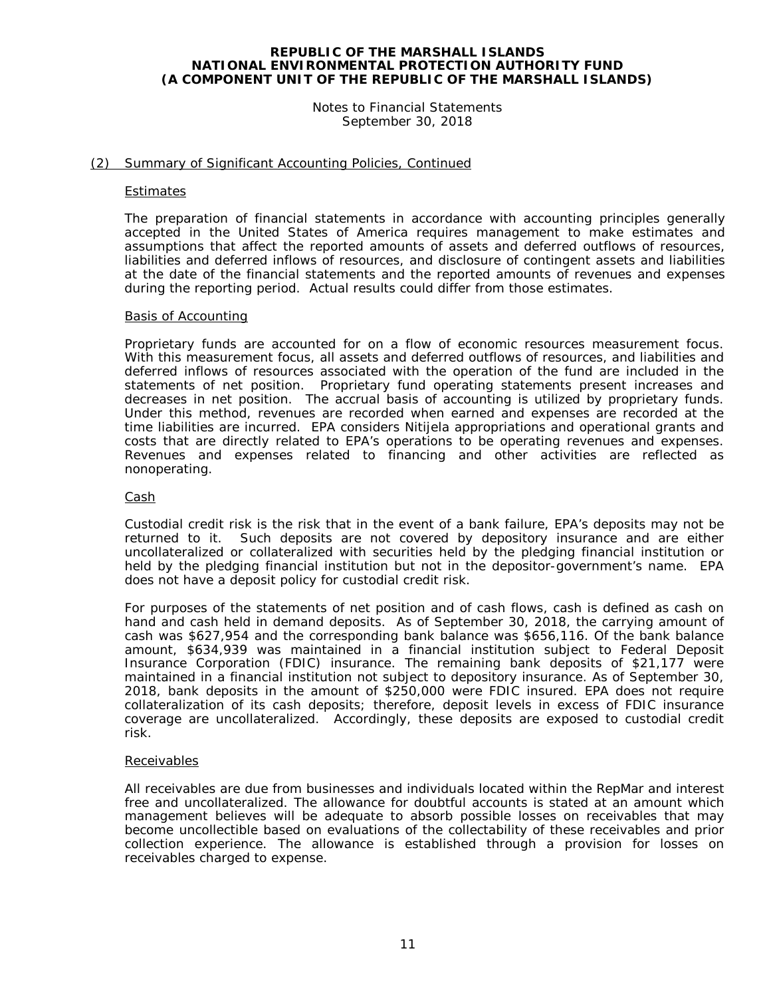Notes to Financial Statements September 30, 2018

#### (2) Summary of Significant Accounting Policies, Continued

#### Estimates

The preparation of financial statements in accordance with accounting principles generally accepted in the United States of America requires management to make estimates and assumptions that affect the reported amounts of assets and deferred outflows of resources, liabilities and deferred inflows of resources, and disclosure of contingent assets and liabilities at the date of the financial statements and the reported amounts of revenues and expenses during the reporting period. Actual results could differ from those estimates.

#### Basis of Accounting

Proprietary funds are accounted for on a flow of economic resources measurement focus. With this measurement focus, all assets and deferred outflows of resources, and liabilities and deferred inflows of resources associated with the operation of the fund are included in the statements of net position. Proprietary fund operating statements present increases and decreases in net position. The accrual basis of accounting is utilized by proprietary funds. Under this method, revenues are recorded when earned and expenses are recorded at the time liabilities are incurred. EPA considers Nitijela appropriations and operational grants and costs that are directly related to EPA's operations to be operating revenues and expenses. Revenues and expenses related to financing and other activities are reflected as nonoperating.

#### Cash

Custodial credit risk is the risk that in the event of a bank failure, EPA's deposits may not be returned to it. Such deposits are not covered by depository insurance and are either uncollateralized or collateralized with securities held by the pledging financial institution or held by the pledging financial institution but not in the depositor-government's name. EPA does not have a deposit policy for custodial credit risk.

For purposes of the statements of net position and of cash flows, cash is defined as cash on hand and cash held in demand deposits. As of September 30, 2018, the carrying amount of cash was \$627,954 and the corresponding bank balance was \$656,116. Of the bank balance amount, \$634,939 was maintained in a financial institution subject to Federal Deposit Insurance Corporation (FDIC) insurance. The remaining bank deposits of \$21,177 were maintained in a financial institution not subject to depository insurance. As of September 30, 2018, bank deposits in the amount of \$250,000 were FDIC insured. EPA does not require collateralization of its cash deposits; therefore, deposit levels in excess of FDIC insurance coverage are uncollateralized. Accordingly, these deposits are exposed to custodial credit risk.

#### Receivables

All receivables are due from businesses and individuals located within the RepMar and interest free and uncollateralized. The allowance for doubtful accounts is stated at an amount which management believes will be adequate to absorb possible losses on receivables that may become uncollectible based on evaluations of the collectability of these receivables and prior collection experience. The allowance is established through a provision for losses on receivables charged to expense.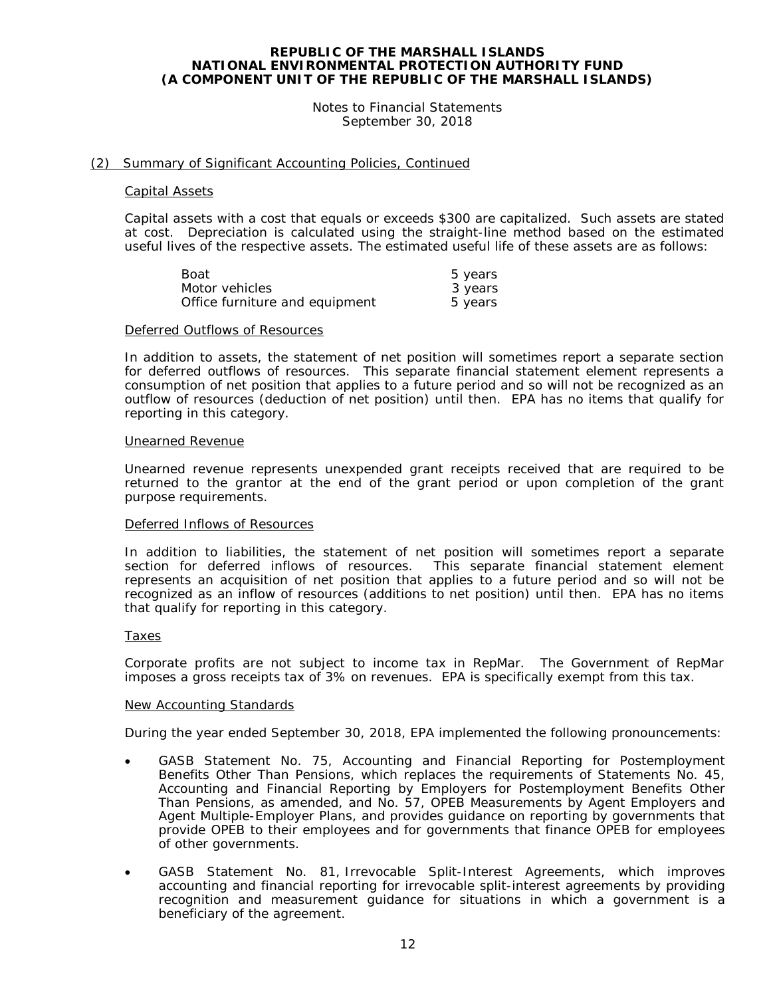Notes to Financial Statements September 30, 2018

#### (2) Summary of Significant Accounting Policies, Continued

#### Capital Assets

Capital assets with a cost that equals or exceeds \$300 are capitalized. Such assets are stated at cost. Depreciation is calculated using the straight-line method based on the estimated useful lives of the respective assets. The estimated useful life of these assets are as follows:

| Boat                           | 5 years |
|--------------------------------|---------|
| Motor vehicles                 | 3 years |
| Office furniture and equipment | 5 years |

#### Deferred Outflows of Resources

In addition to assets, the statement of net position will sometimes report a separate section for deferred outflows of resources. This separate financial statement element represents a consumption of net position that applies to a future period and so will not be recognized as an outflow of resources (deduction of net position) until then. EPA has no items that qualify for reporting in this category.

#### Unearned Revenue

Unearned revenue represents unexpended grant receipts received that are required to be returned to the grantor at the end of the grant period or upon completion of the grant purpose requirements.

#### Deferred Inflows of Resources

In addition to liabilities, the statement of net position will sometimes report a separate section for deferred inflows of resources. This separate financial statement element represents an acquisition of net position that applies to a future period and so will not be recognized as an inflow of resources (additions to net position) until then. EPA has no items that qualify for reporting in this category.

#### Taxes

Corporate profits are not subject to income tax in RepMar. The Government of RepMar imposes a gross receipts tax of 3% on revenues. EPA is specifically exempt from this tax.

#### New Accounting Standards

During the year ended September 30, 2018, EPA implemented the following pronouncements:

- GASB Statement No. 75, *Accounting and Financial Reporting for Postemployment Benefits Other Than Pensions*, which replaces the requirements of Statements No. 45, *Accounting and Financial Reporting by Employers for Postemployment Benefits Other Than Pensions*, as amended, and No. 57, *OPEB Measurements by Agent Employers and Agent Multiple-Employer Plans*, and provides guidance on reporting by governments that provide OPEB to their employees and for governments that finance OPEB for employees of other governments.
- GASB Statement No. 81, *Irrevocable Split-Interest Agreements,* which improves accounting and financial reporting for irrevocable split-interest agreements by providing recognition and measurement guidance for situations in which a government is a beneficiary of the agreement.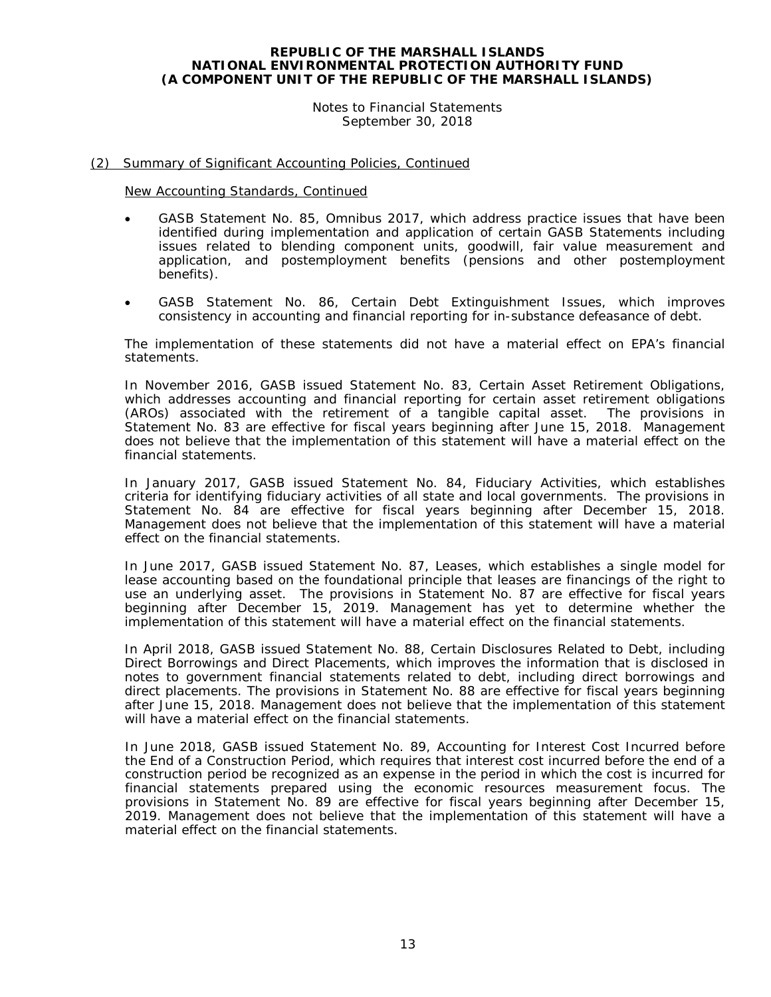Notes to Financial Statements September 30, 2018

#### (2) Summary of Significant Accounting Policies, Continued

New Accounting Standards, Continued

- GASB Statement No. 85, *Omnibus 2017*, which address practice issues that have been identified during implementation and application of certain GASB Statements including issues related to blending component units, goodwill, fair value measurement and application, and postemployment benefits (pensions and other postemployment benefits).
- GASB Statement No. 86, *Certain Debt Extinguishment Issues*, which improves consistency in accounting and financial reporting for in-substance defeasance of debt.

The implementation of these statements did not have a material effect on EPA's financial statements.

In November 2016, GASB issued Statement No. 83, *Certain Asset Retirement Obligations*, which addresses accounting and financial reporting for certain asset retirement obligations (AROs) associated with the retirement of a tangible capital asset. The provisions in Statement No. 83 are effective for fiscal years beginning after June 15, 2018. Management does not believe that the implementation of this statement will have a material effect on the financial statements.

In January 2017, GASB issued Statement No. 84, *Fiduciary Activities*, which establishes criteria for identifying fiduciary activities of all state and local governments. The provisions in Statement No. 84 are effective for fiscal years beginning after December 15, 2018. Management does not believe that the implementation of this statement will have a material effect on the financial statements.

In June 2017, GASB issued Statement No. 87, *Leases*, which establishes a single model for lease accounting based on the foundational principle that leases are financings of the right to use an underlying asset. The provisions in Statement No. 87 are effective for fiscal years beginning after December 15, 2019. Management has yet to determine whether the implementation of this statement will have a material effect on the financial statements.

In April 2018, GASB issued Statement No. 88, *Certain Disclosures Related to Debt, including Direct Borrowings and Direct Placements*, which improves the information that is disclosed in notes to government financial statements related to debt, including direct borrowings and direct placements. The provisions in Statement No. 88 are effective for fiscal years beginning after June 15, 2018. Management does not believe that the implementation of this statement will have a material effect on the financial statements.

In June 2018, GASB issued Statement No. 89, *Accounting for Interest Cost Incurred before the End of a Construction Period*, which requires that interest cost incurred before the end of a construction period be recognized as an expense in the period in which the cost is incurred for financial statements prepared using the economic resources measurement focus. The provisions in Statement No. 89 are effective for fiscal years beginning after December 15, 2019. Management does not believe that the implementation of this statement will have a material effect on the financial statements.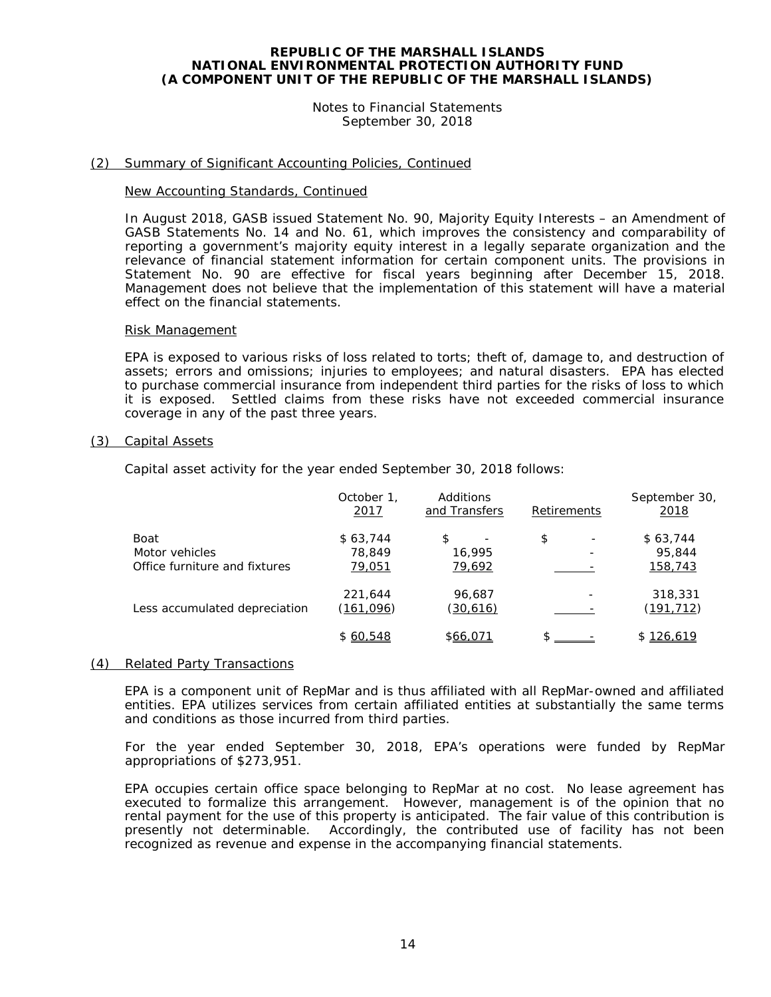Notes to Financial Statements September 30, 2018

#### (2) Summary of Significant Accounting Policies, Continued

#### New Accounting Standards, Continued

In August 2018, GASB issued Statement No. 90, *Majority Equity Interests – an Amendment of GASB Statements No. 14 and No. 61,* which improves the consistency and comparability of reporting a government's majority equity interest in a legally separate organization and the relevance of financial statement information for certain component units. The provisions in Statement No. 90 are effective for fiscal years beginning after December 15, 2018. Management does not believe that the implementation of this statement will have a material effect on the financial statements.

#### Risk Management

EPA is exposed to various risks of loss related to torts; theft of, damage to, and destruction of assets; errors and omissions; injuries to employees; and natural disasters. EPA has elected to purchase commercial insurance from independent third parties for the risks of loss to which it is exposed. Settled claims from these risks have not exceeded commercial insurance coverage in any of the past three years.

#### (3) Capital Assets

Capital asset activity for the year ended September 30, 2018 follows:

|                               | October 1<br>2017    | Additions<br>and Transfers | Retirements             | September 30,<br>2018 |
|-------------------------------|----------------------|----------------------------|-------------------------|-----------------------|
| Boat                          | \$63,744             | \$                         | \$<br>$\qquad \qquad -$ | \$63,744              |
| Motor vehicles                | 78,849               | 16,995                     |                         | 95,844                |
| Office furniture and fixtures | 79,051               | 79,692                     |                         | 158,743               |
| Less accumulated depreciation | 221,644<br>(161,096) | 96,687<br>(30,616)         |                         | 318,331<br>(191, 712) |
|                               | \$60,548             | \$66,071                   |                         | \$126,619             |

#### (4) Related Party Transactions

EPA is a component unit of RepMar and is thus affiliated with all RepMar-owned and affiliated entities. EPA utilizes services from certain affiliated entities at substantially the same terms and conditions as those incurred from third parties.

For the year ended September 30, 2018, EPA's operations were funded by RepMar appropriations of \$273,951.

EPA occupies certain office space belonging to RepMar at no cost. No lease agreement has executed to formalize this arrangement. However, management is of the opinion that no rental payment for the use of this property is anticipated. The fair value of this contribution is presently not determinable. Accordingly, the contributed use of facility has not been recognized as revenue and expense in the accompanying financial statements.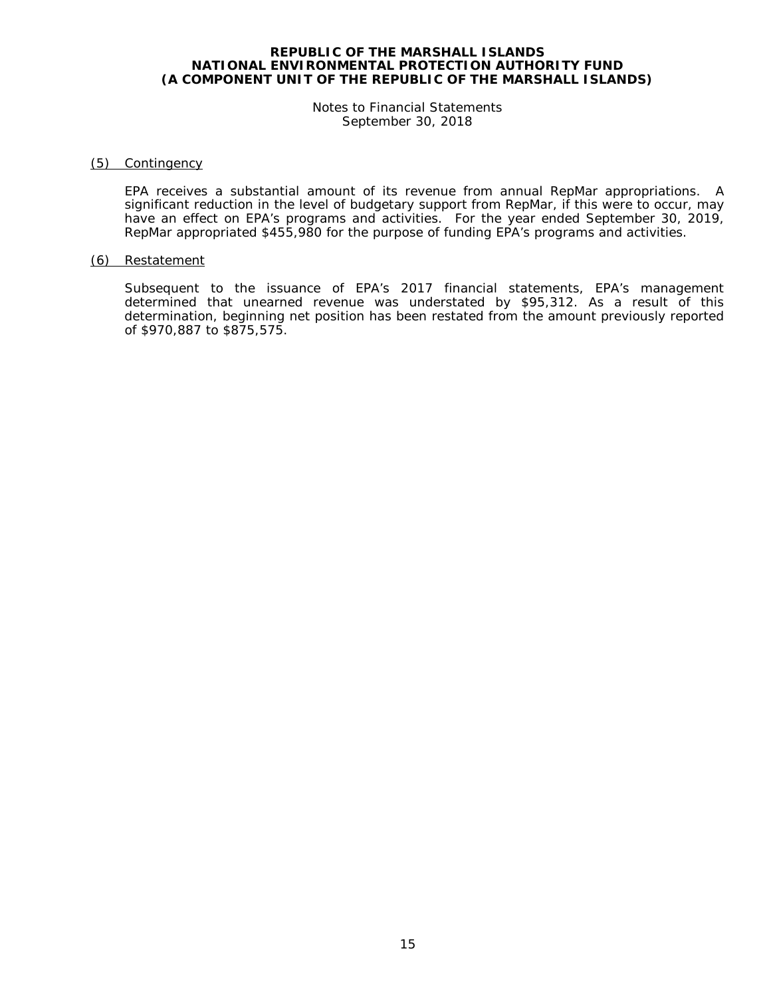Notes to Financial Statements September 30, 2018

#### (5) Contingency

EPA receives a substantial amount of its revenue from annual RepMar appropriations. A significant reduction in the level of budgetary support from RepMar, if this were to occur, may have an effect on EPA's programs and activities. For the year ended September 30, 2019, RepMar appropriated \$455,980 for the purpose of funding EPA's programs and activities.

#### (6) Restatement

Subsequent to the issuance of EPA's 2017 financial statements, EPA's management determined that unearned revenue was understated by \$95,312. As a result of this determination, beginning net position has been restated from the amount previously reported of \$970,887 to \$875,575.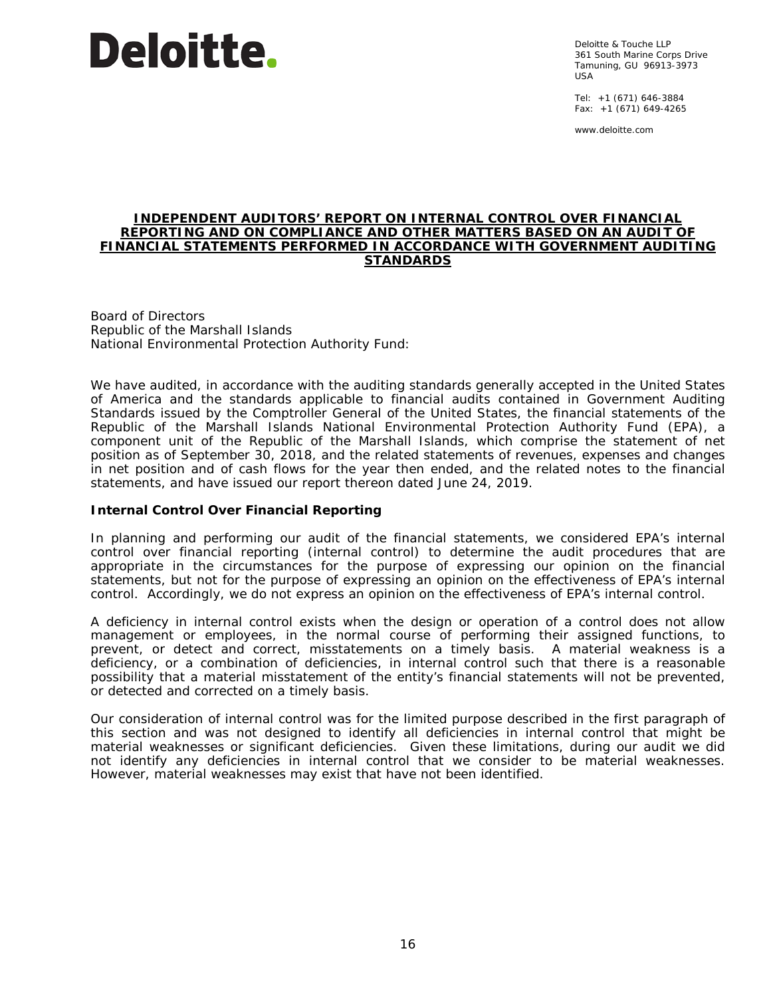Deloitte & Touche LLP 361 South Marine Corps Drive Tamuning, GU 96913-3973 USA

Tel: +1 (671) 646-3884 Fax: +1 (671) 649-4265

www.deloitte.com

#### **INDEPENDENT AUDITORS' REPORT ON INTERNAL CONTROL OVER FINANCIAL REPORTING AND ON COMPLIANCE AND OTHER MATTERS BASED ON AN AUDIT OF FINANCIAL STATEMENTS PERFORMED IN ACCORDANCE WITH** *GOVERNMENT AUDITING STANDARDS*

Board of Directors Republic of the Marshall Islands National Environmental Protection Authority Fund:

We have audited, in accordance with the auditing standards generally accepted in the United States of America and the standards applicable to financial audits contained in *Government Auditing Standards* issued by the Comptroller General of the United States, the financial statements of the Republic of the Marshall Islands National Environmental Protection Authority Fund (EPA), a component unit of the Republic of the Marshall Islands, which comprise the statement of net position as of September 30, 2018, and the related statements of revenues, expenses and changes in net position and of cash flows for the year then ended, and the related notes to the financial statements, and have issued our report thereon dated June 24, 2019.

#### **Internal Control Over Financial Reporting**

In planning and performing our audit of the financial statements, we considered EPA's internal control over financial reporting (internal control) to determine the audit procedures that are appropriate in the circumstances for the purpose of expressing our opinion on the financial statements, but not for the purpose of expressing an opinion on the effectiveness of EPA's internal control. Accordingly, we do not express an opinion on the effectiveness of EPA's internal control.

A *deficiency in internal control* exists when the design or operation of a control does not allow management or employees, in the normal course of performing their assigned functions, to prevent, or detect and correct, misstatements on a timely basis. A *material weakness* is a deficiency, or a combination of deficiencies, in internal control such that there is a reasonable possibility that a material misstatement of the entity's financial statements will not be prevented, or detected and corrected on a timely basis.

Our consideration of internal control was for the limited purpose described in the first paragraph of this section and was not designed to identify all deficiencies in internal control that might be material weaknesses or significant deficiencies. Given these limitations, during our audit we did not identify any deficiencies in internal control that we consider to be material weaknesses. However, material weaknesses may exist that have not been identified.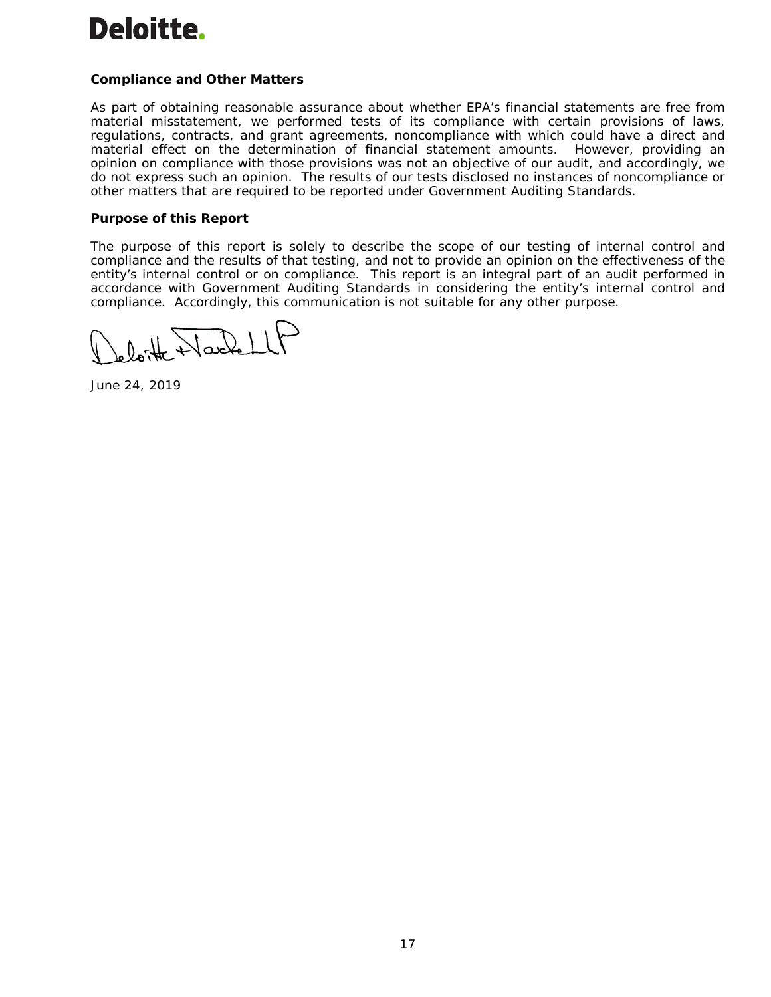# **Compliance and Other Matters**

As part of obtaining reasonable assurance about whether EPA's financial statements are free from material misstatement, we performed tests of its compliance with certain provisions of laws, regulations, contracts, and grant agreements, noncompliance with which could have a direct and material effect on the determination of financial statement amounts. However, providing an opinion on compliance with those provisions was not an objective of our audit, and accordingly, we do not express such an opinion. The results of our tests disclosed no instances of noncompliance or other matters that are required to be reported under *Government Auditing Standards*.

# **Purpose of this Report**

The purpose of this report is solely to describe the scope of our testing of internal control and compliance and the results of that testing, and not to provide an opinion on the effectiveness of the entity's internal control or on compliance. This report is an integral part of an audit performed in accordance with *Government Auditing Standards* in considering the entity's internal control and compliance. Accordingly, this communication is not suitable for any other purpose.

June 24, 2019